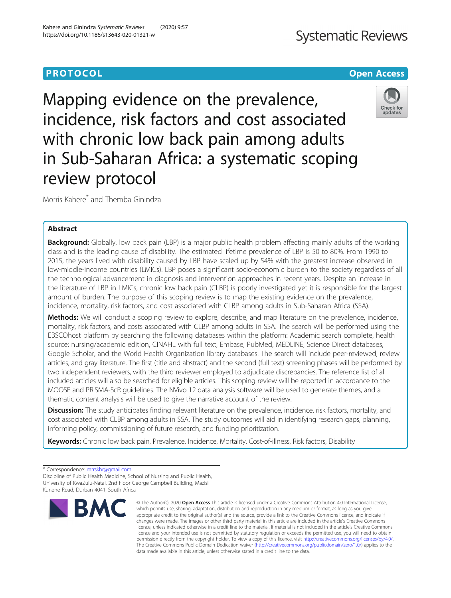# **PROTOCOL CONSUMING THE CONSUMING TEACHER CONSUMING THE CONSUMING TEACHER CONSUMING THE CONSUMING TEACHER CONSUMING**

Mapping evidence on the prevalence, incidence, risk factors and cost associated with chronic low back pain among adults in Sub-Saharan Africa: a systematic scoping review protocol

Morris Kahere\* and Themba Ginindza

# Abstract

**Background:** Globally, low back pain (LBP) is a major public health problem affecting mainly adults of the working class and is the leading cause of disability. The estimated lifetime prevalence of LBP is 50 to 80%. From 1990 to 2015, the years lived with disability caused by LBP have scaled up by 54% with the greatest increase observed in low-middle-income countries (LMICs). LBP poses a significant socio-economic burden to the society regardless of all the technological advancement in diagnosis and intervention approaches in recent years. Despite an increase in the literature of LBP in LMICs, chronic low back pain (CLBP) is poorly investigated yet it is responsible for the largest amount of burden. The purpose of this scoping review is to map the existing evidence on the prevalence, incidence, mortality, risk factors, and cost associated with CLBP among adults in Sub-Saharan Africa (SSA).

Methods: We will conduct a scoping review to explore, describe, and map literature on the prevalence, incidence, mortality, risk factors, and costs associated with CLBP among adults in SSA. The search will be performed using the EBSCOhost platform by searching the following databases within the platform: Academic search complete, health source: nursing/academic edition, CINAHL with full text, Embase, PubMed, MEDLINE, Science Direct databases, Google Scholar, and the World Health Organization library databases. The search will include peer-reviewed, review articles, and gray literature. The first (title and abstract) and the second (full text) screening phases will be performed by two independent reviewers, with the third reviewer employed to adjudicate discrepancies. The reference list of all included articles will also be searched for eligible articles. This scoping review will be reported in accordance to the MOOSE and PRISMA-ScR guidelines. The NVivo 12 data analysis software will be used to generate themes, and a thematic content analysis will be used to give the narrative account of the review.

Discussion: The study anticipates finding relevant literature on the prevalence, incidence, risk factors, mortality, and cost associated with CLBP among adults in SSA. The study outcomes will aid in identifying research gaps, planning, informing policy, commissioning of future research, and funding prioritization.

Keywords: Chronic low back pain, Prevalence, Incidence, Mortality, Cost-of-illness, Risk factors, Disability

\* Correspondence: [mrrskhr@gmail.com](mailto:mrrskhr@gmail.com)

Discipline of Public Health Medicine, School of Nursing and Public Health, University of KwaZulu-Natal, 2nd Floor George Campbell Building, Mazisi Kunene Road, Durban 4041, South Africa



<sup>©</sup> The Author(s), 2020 **Open Access** This article is licensed under a Creative Commons Attribution 4.0 International License, which permits use, sharing, adaptation, distribution and reproduction in any medium or format, as long as you give appropriate credit to the original author(s) and the source, provide a link to the Creative Commons licence, and indicate if changes were made. The images or other third party material in this article are included in the article's Creative Commons licence, unless indicated otherwise in a credit line to the material. If material is not included in the article's Creative Commons licence and your intended use is not permitted by statutory regulation or exceeds the permitted use, you will need to obtain permission directly from the copyright holder. To view a copy of this licence, visit [http://creativecommons.org/licenses/by/4.0/.](http://creativecommons.org/licenses/by/4.0/) The Creative Commons Public Domain Dedication waiver [\(http://creativecommons.org/publicdomain/zero/1.0/](http://creativecommons.org/publicdomain/zero/1.0/)) applies to the data made available in this article, unless otherwise stated in a credit line to the data.

**Systematic Reviews** 

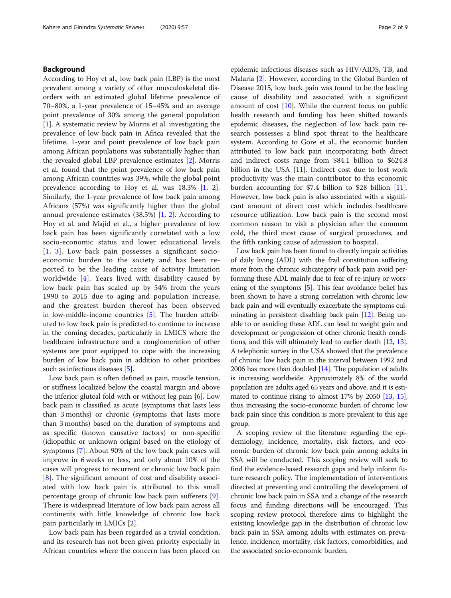# Background

According to Hoy et al., low back pain (LBP) is the most prevalent among a variety of other musculoskeletal disorders with an estimated global lifetime prevalence of 70–80%, a 1-year prevalence of 15–45% and an average point prevalence of 30% among the general population [[1\]](#page-7-0). A systematic review by Morris et al. investigating the prevalence of low back pain in Africa revealed that the lifetime, 1-year and point prevalence of low back pain among African populations was substantially higher than the revealed global LBP prevalence estimates [\[2\]](#page-7-0). Morris et al. found that the point prevalence of low back pain among African countries was 39%, while the global point prevalence according to Hoy et al. was 18.3% [[1,](#page-7-0) [2](#page-7-0)]. Similarly, the 1-year prevalence of low back pain among Africans (57%) was significantly higher than the global annual prevalence estimates (38.5%) [\[1](#page-7-0), [2\]](#page-7-0). According to Hoy et al. and Majid et al., a higher prevalence of low back pain has been significantly correlated with a low socio-economic status and lower educational levels [[1](#page-7-0), [3\]](#page-7-0). Low back pain possesses a significant socioeconomic burden to the society and has been reported to be the leading cause of activity limitation worldwide  $[4]$ . Years lived with disability caused by low back pain has scaled up by 54% from the years 1990 to 2015 due to aging and population increase, and the greatest burden thereof has been observed in low-middle-income countries [[5\]](#page-7-0). The burden attributed to low back pain is predicted to continue to increase in the coming decades, particularly in LMICS where the healthcare infrastructure and a conglomeration of other systems are poor equipped to cope with the increasing burden of low back pain in addition to other priorities such as infectious diseases [\[5\]](#page-7-0).

Low back pain is often defined as pain, muscle tension, or stiffness localized below the coastal margin and above the inferior gluteal fold with or without leg pain [[6\]](#page-7-0). Low back pain is classified as acute (symptoms that lasts less than 3 months) or chronic (symptoms that lasts more than 3 months) based on the duration of symptoms and as specific (known causative factors) or non-specific (idiopathic or unknown origin) based on the etiology of symptoms [[7\]](#page-7-0). About 90% of the low back pain cases will improve in 6 weeks or less, and only about 10% of the cases will progress to recurrent or chronic low back pain [[8\]](#page-7-0). The significant amount of cost and disability associated with low back pain is attributed to this small percentage group of chronic low back pain sufferers [\[9](#page-7-0)]. There is widespread literature of low back pain across all continents with little knowledge of chronic low back pain particularly in LMICs [[2\]](#page-7-0).

Low back pain has been regarded as a trivial condition, and its research has not been given priority especially in African countries where the concern has been placed on

epidemic infectious diseases such as HIV/AIDS, TB, and Malaria [\[2](#page-7-0)]. However, according to the Global Burden of Disease 2015, low back pain was found to be the leading cause of disability and associated with a significant amount of cost [\[10](#page-7-0)]. While the current focus on public health research and funding has been shifted towards epidemic diseases, the neglection of low back pain research possesses a blind spot threat to the healthcare system. According to Gore et al., the economic burden attributed to low back pain incorporating both direct and indirect costs range from \$84.1 billion to \$624.8 billion in the USA  $[11]$  $[11]$ . Indirect cost due to lost work productivity was the main contributor to this economic burden accounting for \$7.4 billion to \$28 billion [\[11](#page-7-0)]. However, low back pain is also associated with a significant amount of direct cost which includes healthcare resource utilization. Low back pain is the second most common reason to visit a physician after the common cold, the third most cause of surgical procedures, and the fifth ranking cause of admission to hospital.

Low back pain has been found to directly impair activities of daily living (ADL) with the frail constitution suffering more from the chronic subcategory of back pain avoid performing these ADL mainly due to fear of re-injury or worsening of the symptoms [\[5\]](#page-7-0). This fear avoidance belief has been shown to have a strong correlation with chronic low back pain and will eventually exacerbate the symptoms culminating in persistent disabling back pain [[12\]](#page-8-0). Being unable to or avoiding these ADL can lead to weight gain and development or progression of other chronic health conditions, and this will ultimately lead to earlier death [\[12,](#page-8-0) [13](#page-8-0)]. A telephonic survey in the USA showed that the prevalence of chronic low back pain in the interval between 1992 and 2006 has more than doubled [[14](#page-8-0)]. The population of adults is increasing worldwide. Approximately 8% of the world population are adults aged 65 years and above, and it is estimated to continue rising to almost 17% by 2050 [[13](#page-8-0), [15](#page-8-0)], thus increasing the socio-economic burden of chronic low back pain since this condition is more prevalent to this age group.

A scoping review of the literature regarding the epidemiology, incidence, mortality, risk factors, and economic burden of chronic low back pain among adults in SSA will be conducted. This scoping review will seek to find the evidence-based research gaps and help inform future research policy. The implementation of interventions directed at preventing and controlling the development of chronic low back pain in SSA and a change of the research focus and funding directions will be encouraged. This scoping review protocol therefore aims to highlight the existing knowledge gap in the distribution of chronic low back pain in SSA among adults with estimates on prevalence, incidence, mortality, risk factors, comorbidities, and the associated socio-economic burden.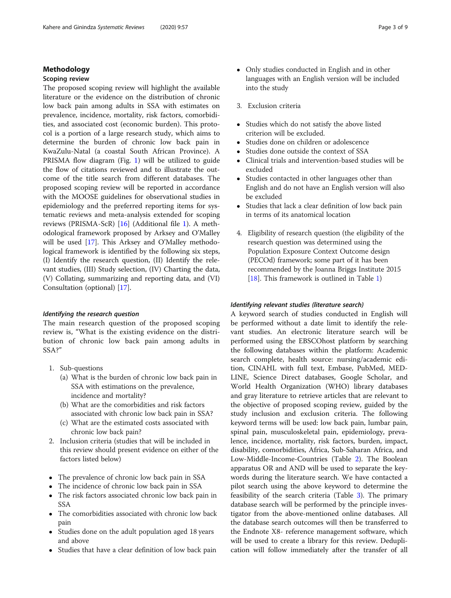# Methodology

# Scoping review

The proposed scoping review will highlight the available literature or the evidence on the distribution of chronic low back pain among adults in SSA with estimates on prevalence, incidence, mortality, risk factors, comorbidities, and associated cost (economic burden). This protocol is a portion of a large research study, which aims to determine the burden of chronic low back pain in KwaZulu-Natal (a coastal South African Province). A PRISMA flow diagram (Fig. [1](#page-3-0)) will be utilized to guide the flow of citations reviewed and to illustrate the outcome of the title search from different databases. The proposed scoping review will be reported in accordance with the MOOSE guidelines for observational studies in epidemiology and the preferred reporting items for systematic reviews and meta-analysis extended for scoping reviews (PRISMA-ScR) [[16](#page-8-0)] (Additional file [1](#page-7-0)). A methodological framework proposed by Arksey and O'Malley will be used [\[17](#page-8-0)]. This Arksey and O'Malley methodological framework is identified by the following six steps, (I) Identify the research question, (II) Identify the relevant studies, (III) Study selection, (IV) Charting the data, (V) Collating, summarizing and reporting data, and (VI) Consultation (optional) [\[17](#page-8-0)].

### Identifying the research question

The main research question of the proposed scoping review is, "What is the existing evidence on the distribution of chronic low back pain among adults in SSA?"

- 1. Sub-questions
	- (a) What is the burden of chronic low back pain in SSA with estimations on the prevalence, incidence and mortality?
	- (b) What are the comorbidities and risk factors associated with chronic low back pain in SSA?
	- (c) What are the estimated costs associated with chronic low back pain?
- 2. Inclusion criteria (studies that will be included in this review should present evidence on either of the factors listed below)
- The prevalence of chronic low back pain in SSA
- The incidence of chronic low back pain in SSA
- The risk factors associated chronic low back pain in SSA
- The comorbidities associated with chronic low back pain
- Studies done on the adult population aged 18 years and above
- Studies that have a clear definition of low back pain
- Only studies conducted in English and in other languages with an English version will be included into the study
- 3. Exclusion criteria
- Studies which do not satisfy the above listed criterion will be excluded.
- Studies done on children or adolescence
- Studies done outside the context of SSA
- Clinical trials and intervention-based studies will be excluded
- Studies contacted in other languages other than English and do not have an English version will also be excluded
- Studies that lack a clear definition of low back pain in terms of its anatomical location
- 4. Eligibility of research question (the eligibility of the research question was determined using the Population Exposure Context Outcome design (PECOd) framework; some part of it has been recommended by the Joanna Briggs Institute 2015 [[18](#page-8-0)]. This framework is outlined in Table [1\)](#page-4-0)

# Identifying relevant studies (literature search)

A keyword search of studies conducted in English will be performed without a date limit to identify the relevant studies. An electronic literature search will be performed using the EBSCOhost platform by searching the following databases within the platform: Academic search complete, health source: nursing/academic edition, CINAHL with full text, Embase, PubMed, MED-LINE, Science Direct databases, Google Scholar, and World Health Organization (WHO) library databases and gray literature to retrieve articles that are relevant to the objective of proposed scoping review, guided by the study inclusion and exclusion criteria. The following keyword terms will be used: low back pain, lumbar pain, spinal pain, musculoskeletal pain, epidemiology, prevalence, incidence, mortality, risk factors, burden, impact, disability, comorbidities, Africa, Sub-Saharan Africa, and Low-Middle-Income-Countries (Table [2](#page-4-0)). The Boolean apparatus OR and AND will be used to separate the keywords during the literature search. We have contacted a pilot search using the above keyword to determine the feasibility of the search criteria (Table [3](#page-5-0)). The primary database search will be performed by the principle investigator from the above-mentioned online databases. All the database search outcomes will then be transferred to the Endnote X8- reference management software, which will be used to create a library for this review. Deduplication will follow immediately after the transfer of all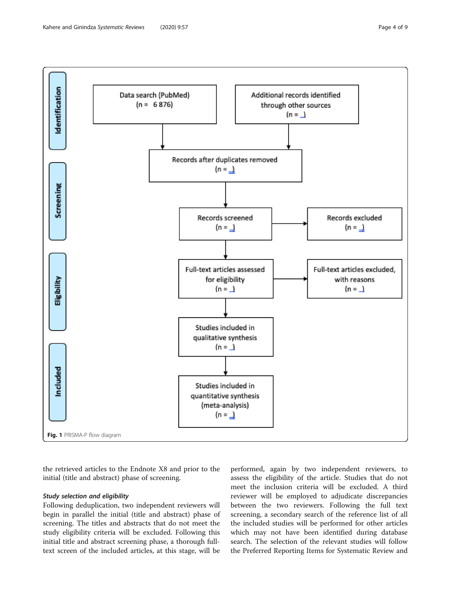

<span id="page-3-0"></span>

the retrieved articles to the Endnote X8 and prior to the initial (title and abstract) phase of screening.

# Study selection and eligibility

Following deduplication, two independent reviewers will begin in parallel the initial (title and abstract) phase of screening. The titles and abstracts that do not meet the study eligibility criteria will be excluded. Following this initial title and abstract screening phase, a thorough fulltext screen of the included articles, at this stage, will be

performed, again by two independent reviewers, to assess the eligibility of the article. Studies that do not meet the inclusion criteria will be excluded. A third reviewer will be employed to adjudicate discrepancies between the two reviewers. Following the full text screening, a secondary search of the reference list of all the included studies will be performed for other articles which may not have been identified during database search. The selection of the relevant studies will follow the Preferred Reporting Items for Systematic Review and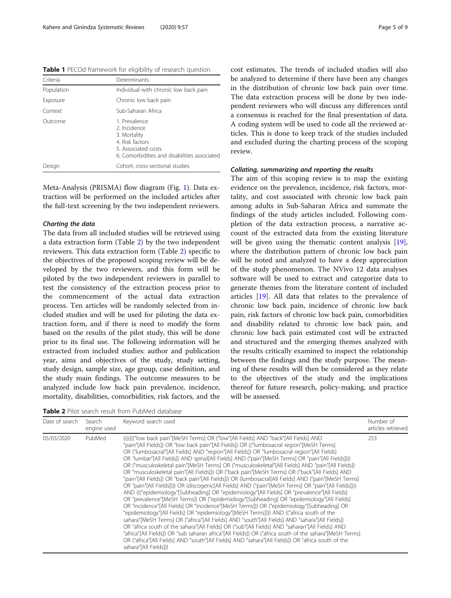<span id="page-4-0"></span>Table 1 PECOd framework for eligibility of research question

| Criteria   | Determinants                                                                                                                         |
|------------|--------------------------------------------------------------------------------------------------------------------------------------|
| Population | Individual with chronic low back pain                                                                                                |
| Exposure   | Chronic low back pain                                                                                                                |
| Context    | Sub-Saharan Africa                                                                                                                   |
| Outcome    | 1 Prevalence<br>2 Incidence<br>3. Mortality<br>4 Risk factors<br>5. Associated costs<br>6. Comorbidities and disabilities associated |
| Design     | Cohort, cross-sectional studies                                                                                                      |

Meta-Analysis (PRISMA) flow diagram (Fig. [1\)](#page-3-0). Data extraction will be performed on the included articles after the full-text screening by the two independent reviewers.

## Charting the data

The data from all included studies will be retrieved using a data extraction form (Table 2) by the two independent reviewers. This data extraction form (Table 2) specific to the objectives of the proposed scoping review will be developed by the two reviewers, and this form will be piloted by the two independent reviewers in parallel to test the consistency of the extraction process prior to the commencement of the actual data extraction process. Ten articles will be randomly selected from included studies and will be used for piloting the data extraction form, and if there is need to modify the form based on the results of the pilot study, this will be done prior to its final use. The following information will be extracted from included studies: author and publication year, aims and objectives of the study, study setting, study design, sample size, age group, case definition, and the study main findings. The outcome measures to be analyzed include low back pain prevalence, incidence, mortality, disabilities, comorbidities, risk factors, and the cost estimates. The trends of included studies will also be analyzed to determine if there have been any changes in the distribution of chronic low back pain over time. The data extraction process will be done by two independent reviewers who will discuss any differences until a consensus is reached for the final presentation of data. A coding system will be used to code all the reviewed articles. This is done to keep track of the studies included and excluded during the charting process of the scoping review.

# Collating, summarizing and reporting the results

The aim of this scoping review is to map the existing evidence on the prevalence, incidence, risk factors, mortality, and cost associated with chronic low back pain among adults in Sub-Saharan Africa and summate the findings of the study articles included. Following completion of the data extraction process, a narrative account of the extracted data from the existing literature will be given using the thematic content analysis [\[19](#page-8-0)], where the distribution pattern of chronic low back pain will be noted and analyzed to have a deep appreciation of the study phenomenon. The NVivo 12 data analyses software will be used to extract and categorize data to generate themes from the literature content of included articles [[19](#page-8-0)]. All data that relates to the prevalence of chronic low back pain, incidence of chronic low back pain, risk factors of chronic low back pain, comorbidities and disability related to chronic low back pain, and chronic low back pain estimated cost will be extracted and structured and the emerging themes analyzed with the results critically examined to inspect the relationship between the findings and the study purpose. The meaning of these results will then be considered as they relate to the objectives of the study and the implications thereof for future research, policy-making, and practice will be assessed.

Table 2 Pilot search result from PubMed database

| Date of search | Search<br>engine used | Keyword search used                                                                                                                                                                                                                                                                                                                                                                                                                                                                                                                                                                                                                                                                                                                                                                                                                                                                                                                                                                                                                                                                                                                                                                                                                                                                                                                                                                                                                                                                                                                                                                                                                         | Number of<br>articles retrieved |
|----------------|-----------------------|---------------------------------------------------------------------------------------------------------------------------------------------------------------------------------------------------------------------------------------------------------------------------------------------------------------------------------------------------------------------------------------------------------------------------------------------------------------------------------------------------------------------------------------------------------------------------------------------------------------------------------------------------------------------------------------------------------------------------------------------------------------------------------------------------------------------------------------------------------------------------------------------------------------------------------------------------------------------------------------------------------------------------------------------------------------------------------------------------------------------------------------------------------------------------------------------------------------------------------------------------------------------------------------------------------------------------------------------------------------------------------------------------------------------------------------------------------------------------------------------------------------------------------------------------------------------------------------------------------------------------------------------|---------------------------------|
| 05/03/2020     | PubMed                | ((((((("low back pain"[MeSH Terms] OR ("low"[All Fields] AND "back"[All Fields] AND<br>"pain"[All Fields]) OR "low back pain"[All Fields]) OR (("lumbosacral region"[MeSH Terms]<br>OR ("lumbosacral"[All Fields] AND "region"[All Fields]) OR "lumbosacral region"[All Fields]<br>OR "lumbar"[All Fields]) AND spinal[All Fields] AND ("pain"[MeSH Terms] OR "pain"[All Fields])))<br>OR ("musculoskeletal pain"[MeSH Terms] OR ("musculoskeletal"[All Fields] AND "pain"[All Fields])<br>OR "musculoskeletal pain"[All Fields])) OR ("back pain"[MeSH Terms] OR ("back"[All Fields] AND<br>"pain"[All Fields]) OR "back pain"[All Fields])) OR (lumbosacral[All Fields] AND ("pain"[MeSH Terms]<br>OR "pain"[All Fields]))) OR (discogenic[All Fields] AND ("pain"[MeSH Terms] OR "pain"[All Fields])))<br>AND ((("epidemiology"[Subheading] OR "epidemiology"[All Fields] OR "prevalence"[All Fields]<br>OR "prevalence"[MeSH Terms]) OR ("epidemiology"[Subheading] OR "epidemiology"[All Fields]<br>OR "incidence"[All Fields] OR "incidence"[MeSH Terms])) OR ("epidemiology"[Subheading] OR<br>"epidemiology"[All Fields] OR "epidemiology"[MeSH Terms]))) AND (("africa south of the<br>sahara"[MeSH Terms] OR ("africa"[All Fields] AND "south"[All Fields] AND "sahara"[All Fields])<br>OR "africa south of the sahara"[All Fields] OR ("sub"[All Fields] AND "saharan"[All Fields] AND<br>"africa"[All Fields]) OR "sub saharan africa"[All Fields]) OR ("africa south of the sahara"[MeSH Terms]<br>OR ("africa"[All Fields] AND "south"[All Fields] AND "sahara"[All Fields]) OR "africa south of the<br>sahara"[All Fields])) | 253                             |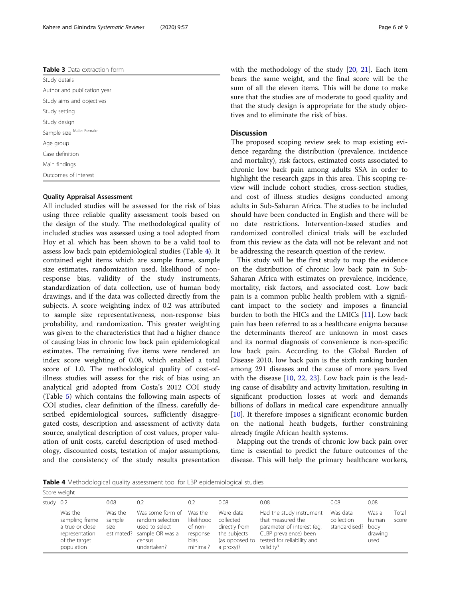### <span id="page-5-0"></span>Table 3 Data extraction form

| Study details               |
|-----------------------------|
| Author and publication year |
| Study aims and objectives   |
| Study setting               |
| Study design                |
| Sample size Male; Female    |
| Age group                   |
| Case definition             |
| Main findings               |
| Outcomes of interest        |

# Quality Appraisal Assessment

All included studies will be assessed for the risk of bias using three reliable quality assessment tools based on the design of the study. The methodological quality of included studies was assessed using a tool adopted from Hoy et al. which has been shown to be a valid tool to assess low back pain epidemiological studies (Table 4). It contained eight items which are sample frame, sample size estimates, randomization used, likelihood of nonresponse bias, validity of the study instruments, standardization of data collection, use of human body drawings, and if the data was collected directly from the subjects. A score weighting index of 0.2 was attributed to sample size representativeness, non-response bias probability, and randomization. This greater weighting was given to the characteristics that had a higher chance of causing bias in chronic low back pain epidemiological estimates. The remaining five items were rendered an index score weighting of 0.08, which enabled a total score of 1.0. The methodological quality of cost-ofillness studies will assess for the risk of bias using an analytical grid adopted from Costa's 2012 COI study (Table [5\)](#page-6-0) which contains the following main aspects of COI studies, clear definition of the illness, carefully described epidemiological sources, sufficiently disaggregated costs, description and assessment of activity data source, analytical description of cost values, proper valuation of unit costs, careful description of used methodology, discounted costs, testation of major assumptions, and the consistency of the study results presentation with the methodology of the study [[20](#page-8-0), [21\]](#page-8-0). Each item bears the same weight, and the final score will be the sum of all the eleven items. This will be done to make sure that the studies are of moderate to good quality and that the study design is appropriate for the study objectives and to eliminate the risk of bias.

# Discussion

The proposed scoping review seek to map existing evidence regarding the distribution (prevalence, incidence and mortality), risk factors, estimated costs associated to chronic low back pain among adults SSA in order to highlight the research gaps in this area. This scoping review will include cohort studies, cross-section studies, and cost of illness studies designs conducted among adults in Sub-Saharan Africa. The studies to be included should have been conducted in English and there will be no date restrictions. Intervention-based studies and randomized controlled clinical trials will be excluded from this review as the data will not be relevant and not be addressing the research question of the review.

This study will be the first study to map the evidence on the distribution of chronic low back pain in Sub-Saharan Africa with estimates on prevalence, incidence, mortality, risk factors, and associated cost. Low back pain is a common public health problem with a significant impact to the society and imposes a financial burden to both the HICs and the LMICs [[11](#page-7-0)]. Low back pain has been referred to as a healthcare enigma because the determinants thereof are unknown in most cases and its normal diagnosis of convenience is non-specific low back pain. According to the Global Burden of Disease 2010, low back pain is the sixth ranking burden among 291 diseases and the cause of more years lived with the disease  $[10, 22, 23]$  $[10, 22, 23]$  $[10, 22, 23]$  $[10, 22, 23]$  $[10, 22, 23]$  $[10, 22, 23]$ . Low back pain is the leading cause of disability and activity limitation, resulting in significant production losses at work and demands billions of dollars in medical care expenditure annually [[10\]](#page-7-0). It therefore imposes a significant economic burden on the national heath budgets, further constraining already fragile African health systems.

Mapping out the trends of chronic low back pain over time is essential to predict the future outcomes of the disease. This will help the primary healthcare workers,

Table 4 Methodological quality assessment tool for LBP epidemiological studies

|           | Score weight                                                                                  |                                         |                                                                                                    |                                                                         |                                                                                        |                                                                                                                                                 |                                         |                                           |                |
|-----------|-----------------------------------------------------------------------------------------------|-----------------------------------------|----------------------------------------------------------------------------------------------------|-------------------------------------------------------------------------|----------------------------------------------------------------------------------------|-------------------------------------------------------------------------------------------------------------------------------------------------|-----------------------------------------|-------------------------------------------|----------------|
| study 0.2 |                                                                                               | 0.08                                    | 0.2                                                                                                | 0.2                                                                     | 0.08                                                                                   | 0.08                                                                                                                                            | 0.08                                    | 0.08                                      |                |
|           | Was the<br>sampling frame<br>a true or close<br>representation<br>of the target<br>population | Was the<br>sample<br>size<br>estimated? | Was some form of<br>random selection<br>used to select<br>sample OR was a<br>census<br>undertaken? | Was the<br>likelihood<br>of non-<br>response<br><b>bias</b><br>minimal? | Were data<br>collected<br>directly from<br>the subjects<br>(as opposed to<br>a proxy)? | Had the study instrument<br>that measured the<br>parameter of interest (eq,<br>CLBP prevalence) been<br>tested for reliability and<br>validity? | Was data<br>collection<br>standardised? | Was a<br>human<br>body<br>drawing<br>used | Total<br>score |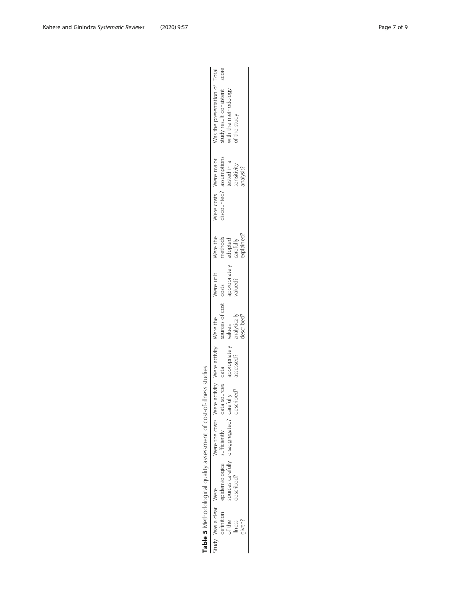| Ç<br>Í<br>j<br>j<br>;<br>;<br>١                               |
|---------------------------------------------------------------|
| i<br>l<br>ł<br>ı<br>i                                         |
| į<br>ţ<br>;<br>+<br>i<br>י<br>ו<br>;<br>;<br>;<br>j<br>١<br>١ |
| $\frac{1}{2}$<br>$\ddot{ }$<br>S<br>ί<br>ı                    |
| ¢<br>l<br>j<br>$\frac{1}{2}$<br>١<br>J<br>l<br>¢              |
| I                                                             |

|                   | .<br>.<br>.     |               |                         |                            |                                                         |                        |                                                           |            |                                                                      |                        |
|-------------------|-----------------|---------------|-------------------------|----------------------------|---------------------------------------------------------|------------------------|-----------------------------------------------------------|------------|----------------------------------------------------------------------|------------------------|
| itudy Was a clear | Nere            | lere the cost | Vere activity           | Vere activity              | Nere the                                                | lere unit              |                                                           | Vere costs |                                                                      | Vas the presentation   |
| definition        | pidemiologica   | ufficiently   | data sources            |                            | sources of cost<br>values<br>analytically<br>described? | costs                  | Were the<br>methods<br>adopted<br>carefully<br>explained? | liscounted | Were major<br>assumptions<br>tested in a<br>sensitivity<br>analysis? | tudy result consistent |
| of the            | purces careful. | isaggregater  | carefully<br>described? | appropriately<br>assessed? |                                                         | ppropriately<br>alued? |                                                           |            |                                                                      | vith the methodolog    |
| llness            | lescribed;      |               |                         |                            |                                                         |                        |                                                           |            |                                                                      | f the study            |
| iven?             |                 |               |                         |                            |                                                         |                        |                                                           |            |                                                                      |                        |

<span id="page-6-0"></span>Total score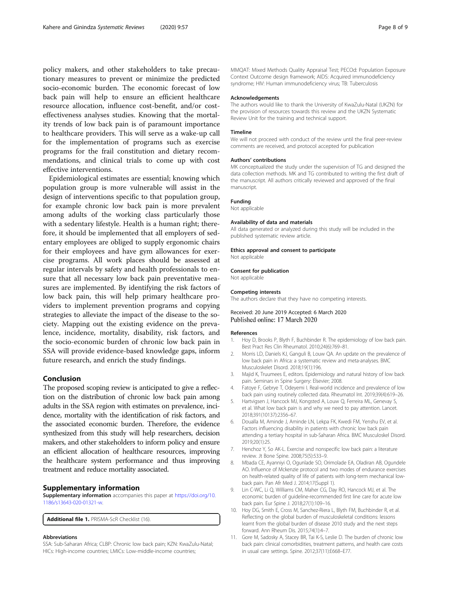<span id="page-7-0"></span>policy makers, and other stakeholders to take precautionary measures to prevent or minimize the predicted socio-economic burden. The economic forecast of low back pain will help to ensure an efficient healthcare resource allocation, influence cost-benefit, and/or costeffectiveness analyses studies. Knowing that the mortality trends of low back pain is of paramount importance to healthcare providers. This will serve as a wake-up call for the implementation of programs such as exercise programs for the frail constitution and dietary recommendations, and clinical trials to come up with cost effective interventions.

Epidemiological estimates are essential; knowing which population group is more vulnerable will assist in the design of interventions specific to that population group, for example chronic low back pain is more prevalent among adults of the working class particularly those with a sedentary lifestyle. Health is a human right; therefore, it should be implemented that all employers of sedentary employees are obliged to supply ergonomic chairs for their employees and have gym allowances for exercise programs. All work places should be assessed at regular intervals by safety and health professionals to ensure that all necessary low back pain preventative measures are implemented. By identifying the risk factors of low back pain, this will help primary healthcare providers to implement prevention programs and copying strategies to alleviate the impact of the disease to the society. Mapping out the existing evidence on the prevalence, incidence, mortality, disability, risk factors, and the socio-economic burden of chronic low back pain in SSA will provide evidence-based knowledge gaps, inform future research, and enrich the study findings.

# Conclusion

The proposed scoping review is anticipated to give a reflection on the distribution of chronic low back pain among adults in the SSA region with estimates on prevalence, incidence, mortality with the identification of risk factors, and the associated economic burden. Therefore, the evidence synthesized from this study will help researchers, decision makers, and other stakeholders to inform policy and ensure an efficient allocation of healthcare resources, improving the healthcare system performance and thus improving treatment and reduce mortality associated.

### Supplementary information

Supplementary information accompanies this paper at [https://doi.org/10.](https://doi.org/10.1186/s13643-020-01321-w) [1186/s13643-020-01321-w](https://doi.org/10.1186/s13643-020-01321-w).

Additional file 1. PRISMA-ScR Checklist (16).

#### Abbreviations

SSA: Sub-Saharan Africa; CLBP: Chronic low back pain; KZN: KwaZulu-Natal; HICs: High-income countries; LMICs: Low-middle-income countries;

MMQAT: Mixed Methods Quality Appraisal Test; PECOd: Population Exposure Context Outcome design framework; AIDS: Acquired immunodeficiency syndrome; HIV: Human immunodeficiency virus; TB: Tuberculosis

#### Acknowledgements

The authors would like to thank the University of KwaZulu-Natal (UKZN) for the provision of resources towards this review and the UKZN Systematic Review Unit for the training and technical support.

#### Timeline

We will not proceed with conduct of the review until the final peer-review comments are received, and protocol accepted for publication

#### Authors' contributions

MK conceptualized the study under the supervision of TG and designed the data collection methods. MK and TG contributed to writing the first draft of the manuscript. All authors critically reviewed and approved of the final manuscript.

### Funding

Not applicable

#### Availability of data and materials

All data generated or analyzed during this study will be included in the published systematic review article.

#### Ethics approval and consent to participate Not applicable

#### Consent for publication

Not applicable

### Competing interests

The authors declare that they have no competing interests.

## Received: 20 June 2019 Accepted: 6 March 2020 Published online: 17 March 2020

### References

- 1. Hoy D, Brooks P, Blyth F, Buchbinder R. The epidemiology of low back pain. Best Pract Res Clin Rheumatol. 2010;24(6):769–81.
- 2. Morris LD, Daniels KJ, Ganguli B, Louw QA. An update on the prevalence of low back pain in Africa: a systematic review and meta-analyses. BMC Musculoskelet Disord. 2018;19(1):196.
- 3. Majid K, Truumees E, editors. Epidemiology and natural history of low back pain. Seminars in Spine Surgery: Elsevier; 2008.
- 4. Fatoye F, Gebrye T, Odeyemi I. Real-world incidence and prevalence of low back pain using routinely collected data. Rheumatol Int. 2019;39(4):619–26.
- 5. Hartvigsen J, Hancock MJ, Kongsted A, Louw Q, Ferreira ML, Genevay S, et al. What low back pain is and why we need to pay attention. Lancet. 2018;391(10137):2356–67.
- 6. Doualla M, Aminde J, Aminde LN, Lekpa FK, Kwedi FM, Yenshu EV, et al. Factors influencing disability in patients with chronic low back pain attending a tertiary hospital in sub-Saharan Africa. BMC Musculoskel Disord. 2019;20(1):25.
- 7. Henchoz Y, So AK-L. Exercise and nonspecific low back pain: a literature review. Jt Bone Spine. 2008;75(5):533–9.
- 8. Mbada CE, Ayanniyi O, Ogunlade SO, Orimolade EA, Oladiran AB, Ogundele AO. Influence of Mckenzie protocol and two modes of endurance exercises on health-related quality of life of patients with long-term mechanical lowback pain. Pan Afr Med J. 2014;17(Suppl 1).
- Lin C-WC, Li Q, Williams CM, Maher CG, Day RO, Hancock MJ, et al. The economic burden of guideline-recommended first line care for acute low back pain. Eur Spine J. 2018;27(1):109–16.
- 10. Hoy DG, Smith E, Cross M, Sanchez-Riera L, Blyth FM, Buchbinder R, et al. Reflecting on the global burden of musculoskeletal conditions: lessons learnt from the global burden of disease 2010 study and the next steps forward. Ann Rheum Dis. 2015;74(1):4–7.
- 11. Gore M, Sadosky A, Stacey BR, Tai K-S, Leslie D. The burden of chronic low back pain: clinical comorbidities, treatment patterns, and health care costs in usual care settings. Spine. 2012;37(11):E668–E77.